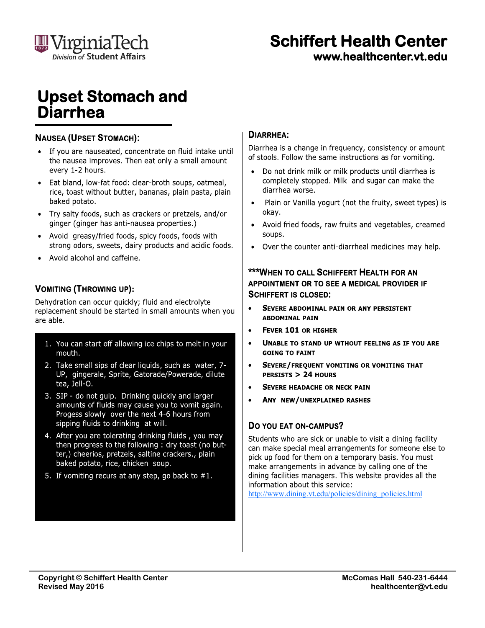

# **Schiffert Health Center**

www.healthcenter.vt.edu

### **Upset Stomach and Diarrhea**

#### **NAUSEA (UPSET STOMACH):**

- If you are nauseated, concentrate on fluid intake until the nausea improves. Then eat only a small amount every 1-2 hours.
- Eat bland, low-fat food: clear-broth soups, oatmeal, rice, toast without butter, bananas, plain pasta, plain baked potato.
- Try salty foods, such as crackers or pretzels, and/or  $\bullet$ ginger (ginger has anti-nausea properties.)
- Avoid greasy/fried foods, spicy foods, foods with strong odors, sweets, dairy products and acidic foods.
- Avoid alcohol and caffeine.

#### **VOMITING (THROWING UP):**

Dehydration can occur quickly; fluid and electrolyte replacement should be started in small amounts when you are able.

- 1. You can start off allowing ice chips to melt in your mouth.
- 2. Take small sips of clear liquids, such as water, 7-UP, gingerale, Sprite, Gatorade/Powerade, dilute tea, Jell-O.
- 3. SIP do not gulp. Drinking quickly and larger amounts of fluids may cause you to vomit again. Progess slowly over the next 4-6 hours from sipping fluids to drinking at will.
- 4. After you are tolerating drinking fluids, you may then progress to the following : dry toast (no butter,) cheerios, pretzels, saltine crackers., plain baked potato, rice, chicken soup.
- 5. If vomiting recurs at any step, go back to  $#1$ .

#### **DIARRHEA:**

Diarrhea is a change in frequency, consistency or amount of stools. Follow the same instructions as for vomiting.

- Do not drink milk or milk products until diarrhea is completely stopped. Milk and sugar can make the diarrhea worse.
- Plain or Vanilla yogurt (not the fruity, sweet types) is okav.
- Avoid fried foods, raw fruits and vegetables, creamed soups.
- Over the counter anti-diarrheal medicines may help.

#### **\*\*\*WHEN TO CALL SCHIFFERT HEALTH FOR AN** APPOINTMENT OR TO SEE A MEDICAL PROVIDER IF **SCHIFFERT IS CLOSED:**

- $\bullet$ SEVERE ABDOMINAL PAIN OR ANY PERSISTENT **ABDOMINAL PAIN**
- $\bullet$ **FEVER 101 OR HIGHER**
- UNABLE TO STAND UP WTHOUT FEELING AS IF YOU ARE  $\bullet$ **GOING TO FAINT**
- $\bullet$ SEVERE/FREQUENT VOMITING OR VOMITING THAT PERSISTS > 24 HOURS
- **SEVERE HEADACHE OR NECK PAIN**
- ANY NEW/UNEXPLAINED RASHES  $\bullet$

#### DO YOU EAT ON-CAMPUS?

Students who are sick or unable to visit a dining facility can make special meal arrangements for someone else to pick up food for them on a temporary basis. You must make arrangements in advance by calling one of the dining facilities managers. This website provides all the information about this service:

http://www.dining.vt.edu/policies/dining policies.html